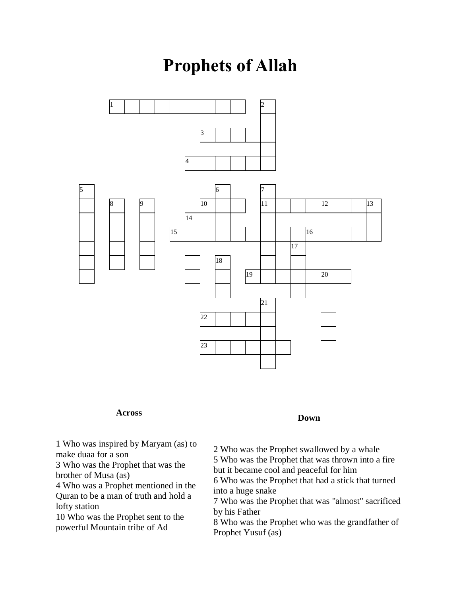## **Prophets of Allah**



## **Across**

**Down**

 Who was inspired by Maryam (as) to make duaa for a son

 Who was the Prophet that was the brother of Musa (as)

 Who was a Prophet mentioned in the Quran to be a man of truth and hold a lofty station

 Who was the Prophet sent to the powerful Mountain tribe of Ad

 Who was the Prophet swallowed by a whale Who was the Prophet that was thrown into a fire but it became cool and peaceful for him

 Who was the Prophet that had a stick that turned into a huge snake

 Who was the Prophet that was "almost" sacrificed by his Father

 Who was the Prophet who was the grandfather of Prophet Yusuf (as)